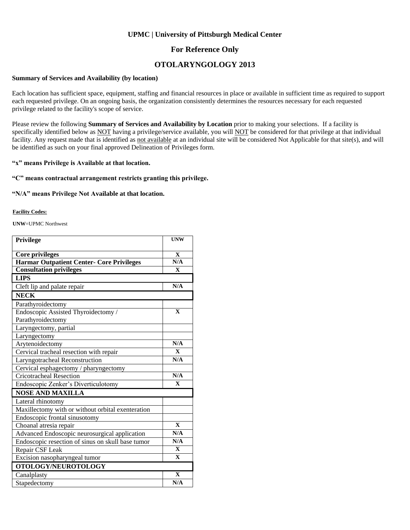### **UPMC | University of Pittsburgh Medical Center**

### **For Reference Only**

## **OTOLARYNGOLOGY 2013**

#### **Summary of Services and Availability (by location)**

Each location has sufficient space, equipment, staffing and financial resources in place or available in sufficient time as required to support each requested privilege. On an ongoing basis, the organization consistently determines the resources necessary for each requested privilege related to the facility's scope of service.

Please review the following **Summary of Services and Availability by Location** prior to making your selections. If a facility is specifically identified below as NOT having a privilege/service available, you will NOT be considered for that privilege at that individual facility. Any request made that is identified as not available at an individual site will be considered Not Applicable for that site(s), and will be identified as such on your final approved Delineation of Privileges form.

#### **"x" means Privilege is Available at that location.**

### **"C" means contractual arrangement restricts granting this privilege.**

#### **"N/A" means Privilege Not Available at that location.**

#### **Facility Codes:**

**UNW**=UPMC Northwest

| <b>Privilege</b>                                  | <b>UNW</b>              |
|---------------------------------------------------|-------------------------|
| <b>Core privileges</b>                            | $\mathbf X$             |
| <b>Harmar Outpatient Center- Core Privileges</b>  | N/A                     |
| <b>Consultation privileges</b>                    | $\mathbf{X}$            |
| <b>LIPS</b>                                       |                         |
| Cleft lip and palate repair                       | N/A                     |
| <b>NECK</b>                                       |                         |
| Parathyroidectomy                                 |                         |
| Endoscopic Assisted Thyroidectomy /               | $\mathbf{X}$            |
| Parathyroidectomy                                 |                         |
| Laryngectomy, partial                             |                         |
| Laryngectomy                                      |                         |
| Arytenoidectomy                                   | N/A                     |
| Cervical tracheal resection with repair           | $\mathbf{X}$            |
| Laryngotracheal Reconstruction                    | N/A                     |
| Cervical esphagectomy / pharyngectomy             |                         |
| <b>Cricotracheal Resection</b>                    | N/A                     |
| Endoscopic Zenker's Diverticulotomy               | $\mathbf{X}$            |
| <b>NOSE AND MAXILLA</b>                           |                         |
| Lateral rhinotomy                                 |                         |
| Maxillectomy with or without orbital exenteration |                         |
| Endoscopic frontal sinusotomy                     |                         |
| Choanal atresia repair                            | $\mathbf{X}$            |
| Advanced Endoscopic neurosurgical application     | N/A                     |
| Endoscopic resection of sinus on skull base tumor | N/A                     |
| Repair CSF Leak                                   | $\mathbf X$             |
| Excision nasopharyngeal tumor                     | $\overline{\mathbf{X}}$ |
| OTOLOGY/NEUROTOLOGY                               |                         |
| Canalplasty                                       | $\mathbf{X}$            |
| Stapedectomy                                      | N/A                     |